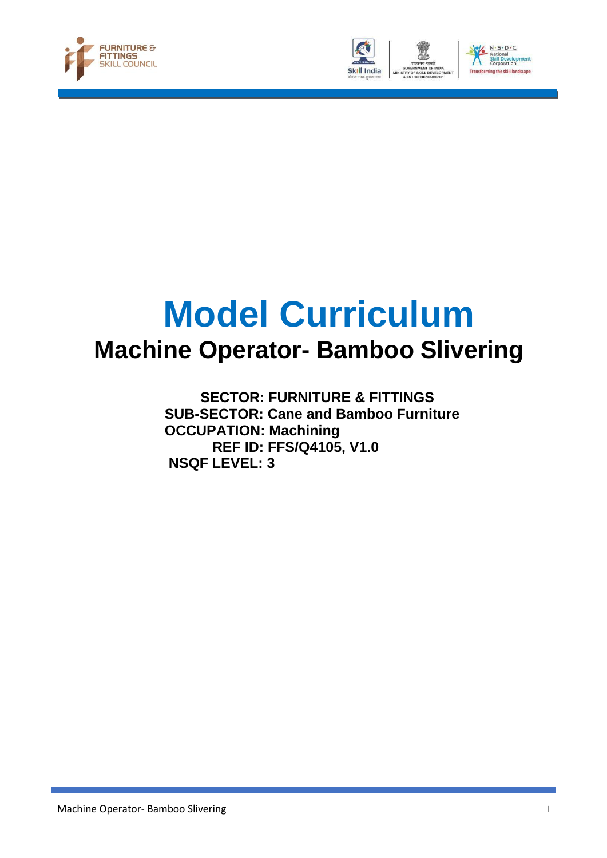





## **Model Curriculum Machine Operator- Bamboo Slivering**

 **SECTOR: FURNITURE & FITTINGS SUB-SECTOR: Cane and Bamboo Furniture OCCUPATION: Machining REF ID: FFS/Q4105, V1.0 NSQF LEVEL: 3**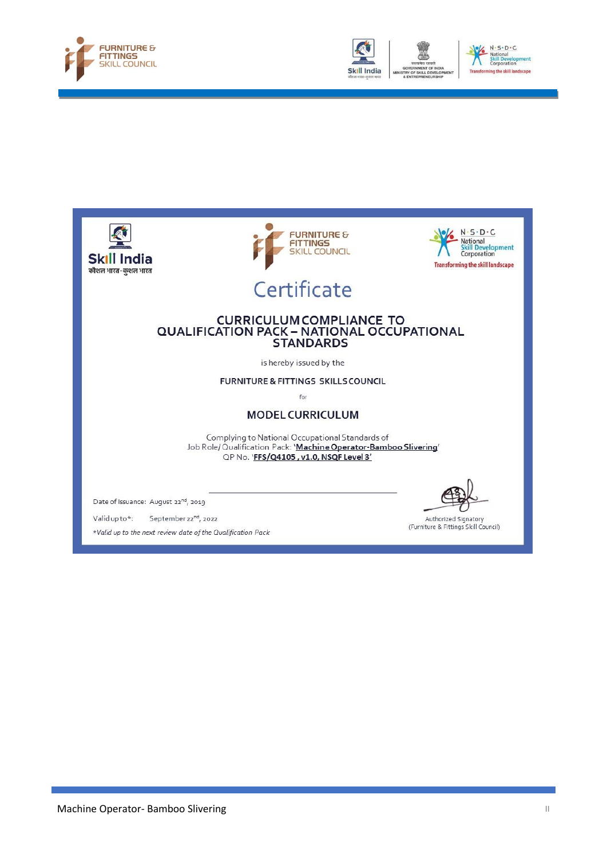





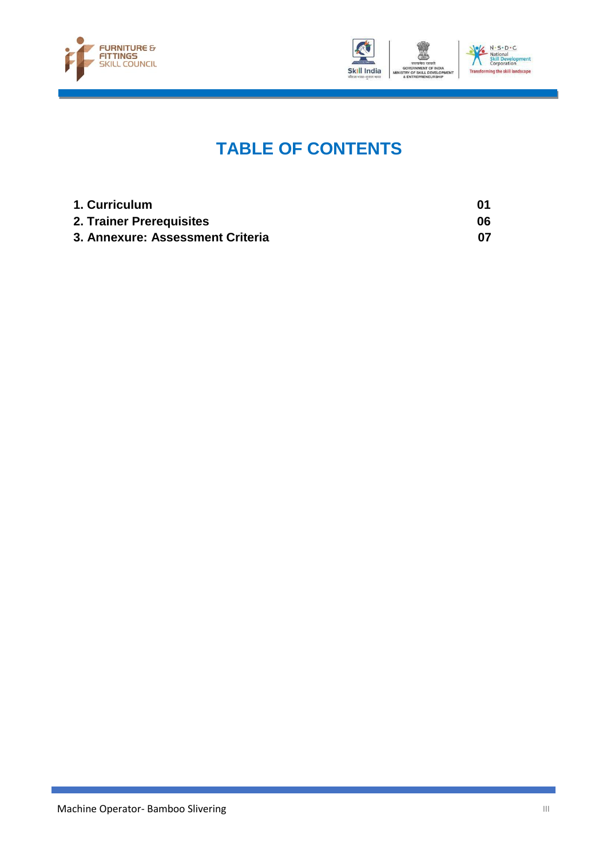



### **TABLE OF CONTENTS**

| 1. Curriculum                    |    |
|----------------------------------|----|
| 2. Trainer Prerequisites         | 06 |
| 3. Annexure: Assessment Criteria |    |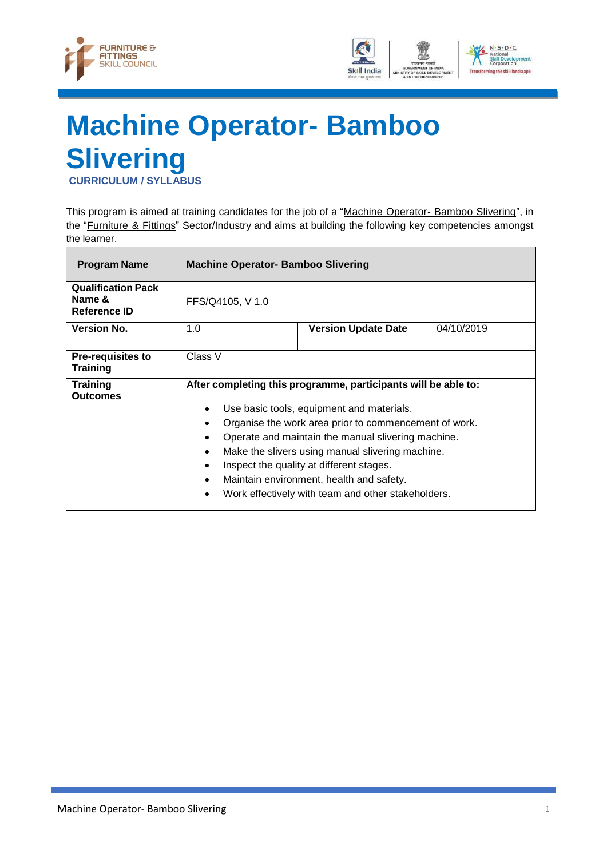



# <span id="page-3-0"></span>**Machine Operator- Bamboo Slivering**

**CURRICULUM / SYLLABUS**

This program is aimed at training candidates for the job of a "Machine Operator- Bamboo Slivering", in the "Furniture & Fittings" Sector/Industry and aims at building the following key competencies amongst the learner.

| <b>Program Name</b>                                 | <b>Machine Operator- Bamboo Slivering</b>                                                                                                                                                                                                                                                                                                                                                                                                                                                                               |                            |            |
|-----------------------------------------------------|-------------------------------------------------------------------------------------------------------------------------------------------------------------------------------------------------------------------------------------------------------------------------------------------------------------------------------------------------------------------------------------------------------------------------------------------------------------------------------------------------------------------------|----------------------------|------------|
| <b>Qualification Pack</b><br>Name &<br>Reference ID | FFS/Q4105, V 1.0                                                                                                                                                                                                                                                                                                                                                                                                                                                                                                        |                            |            |
| <b>Version No.</b>                                  | 1.0                                                                                                                                                                                                                                                                                                                                                                                                                                                                                                                     | <b>Version Update Date</b> | 04/10/2019 |
| <b>Pre-requisites to</b><br>Training                | Class V                                                                                                                                                                                                                                                                                                                                                                                                                                                                                                                 |                            |            |
| <b>Training</b><br><b>Outcomes</b>                  | After completing this programme, participants will be able to:<br>Use basic tools, equipment and materials.<br>$\bullet$<br>Organise the work area prior to commencement of work.<br>$\bullet$<br>Operate and maintain the manual slivering machine.<br>$\bullet$<br>Make the slivers using manual slivering machine.<br>$\bullet$<br>Inspect the quality at different stages.<br>$\bullet$<br>Maintain environment, health and safety.<br>$\bullet$<br>Work effectively with team and other stakeholders.<br>$\bullet$ |                            |            |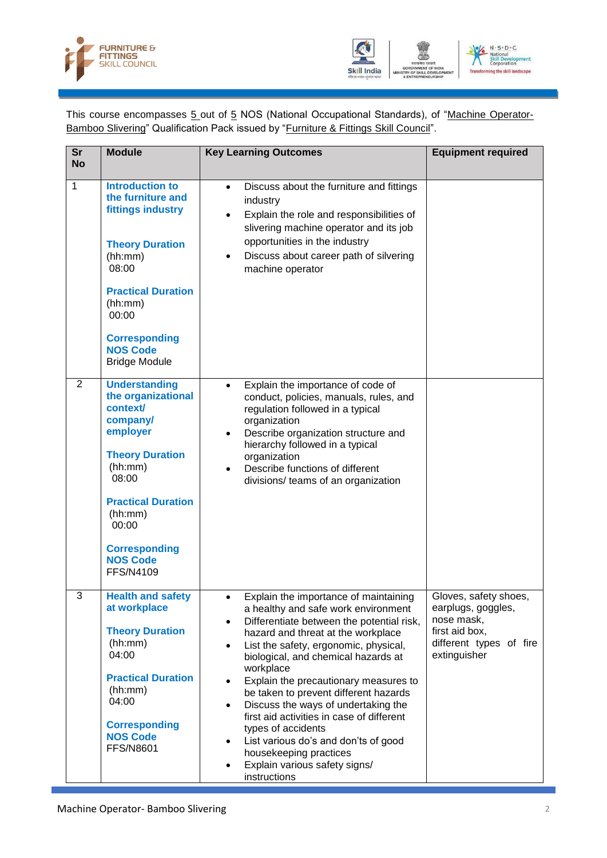



This course encompasses 5 out of 5 NOS (National Occupational Standards), of "Machine Operator-Bamboo Slivering" Qualification Pack issued by "Furniture & Fittings Skill Council".

| <b>Sr</b><br><b>No</b> | <b>Module</b>                                                                                                                                                                                          | <b>Key Learning Outcomes</b>                                                                                                                                                                                                                                                                                                                                                                                                                                                                                                                                                             | <b>Equipment required</b>                                                                                              |
|------------------------|--------------------------------------------------------------------------------------------------------------------------------------------------------------------------------------------------------|------------------------------------------------------------------------------------------------------------------------------------------------------------------------------------------------------------------------------------------------------------------------------------------------------------------------------------------------------------------------------------------------------------------------------------------------------------------------------------------------------------------------------------------------------------------------------------------|------------------------------------------------------------------------------------------------------------------------|
| $\mathbf{1}$           | <b>Introduction to</b><br>the furniture and<br>fittings industry                                                                                                                                       | Discuss about the furniture and fittings<br>$\bullet$<br>industry<br>Explain the role and responsibilities of<br>slivering machine operator and its job                                                                                                                                                                                                                                                                                                                                                                                                                                  |                                                                                                                        |
|                        | <b>Theory Duration</b><br>(hh:mm)<br>08:00                                                                                                                                                             | opportunities in the industry<br>Discuss about career path of silvering<br>$\bullet$<br>machine operator                                                                                                                                                                                                                                                                                                                                                                                                                                                                                 |                                                                                                                        |
|                        | <b>Practical Duration</b><br>(hh:mm)<br>00:00                                                                                                                                                          |                                                                                                                                                                                                                                                                                                                                                                                                                                                                                                                                                                                          |                                                                                                                        |
|                        | <b>Corresponding</b><br><b>NOS Code</b><br><b>Bridge Module</b>                                                                                                                                        |                                                                                                                                                                                                                                                                                                                                                                                                                                                                                                                                                                                          |                                                                                                                        |
| 2                      | <b>Understanding</b><br>the organizational<br>context/<br>company/<br>employer<br><b>Theory Duration</b><br>(hh:mm)<br>08:00                                                                           | Explain the importance of code of<br>$\bullet$<br>conduct, policies, manuals, rules, and<br>regulation followed in a typical<br>organization<br>Describe organization structure and<br>$\bullet$<br>hierarchy followed in a typical<br>organization<br>Describe functions of different                                                                                                                                                                                                                                                                                                   |                                                                                                                        |
|                        | <b>Practical Duration</b><br>(hh:mm)<br>00:00                                                                                                                                                          | divisions/ teams of an organization                                                                                                                                                                                                                                                                                                                                                                                                                                                                                                                                                      |                                                                                                                        |
|                        | <b>Corresponding</b><br><b>NOS Code</b><br>FFS/N4109                                                                                                                                                   |                                                                                                                                                                                                                                                                                                                                                                                                                                                                                                                                                                                          |                                                                                                                        |
| 3                      | <b>Health and safety</b><br>at workplace<br><b>Theory Duration</b><br>(hh:mm)<br>04:00<br><b>Practical Duration</b><br>(hh:mm)<br>04:00<br><b>Corresponding</b><br><b>NOS Code</b><br><b>FFS/N8601</b> | Explain the importance of maintaining<br>a healthy and safe work environment<br>Differentiate between the potential risk,<br>$\bullet$<br>hazard and threat at the workplace<br>List the safety, ergonomic, physical,<br>biological, and chemical hazards at<br>workplace<br>Explain the precautionary measures to<br>be taken to prevent different hazards<br>Discuss the ways of undertaking the<br>first aid activities in case of different<br>types of accidents<br>List various do's and don'ts of good<br>housekeeping practices<br>Explain various safety signs/<br>instructions | Gloves, safety shoes,<br>earplugs, goggles,<br>nose mask,<br>first aid box,<br>different types of fire<br>extinguisher |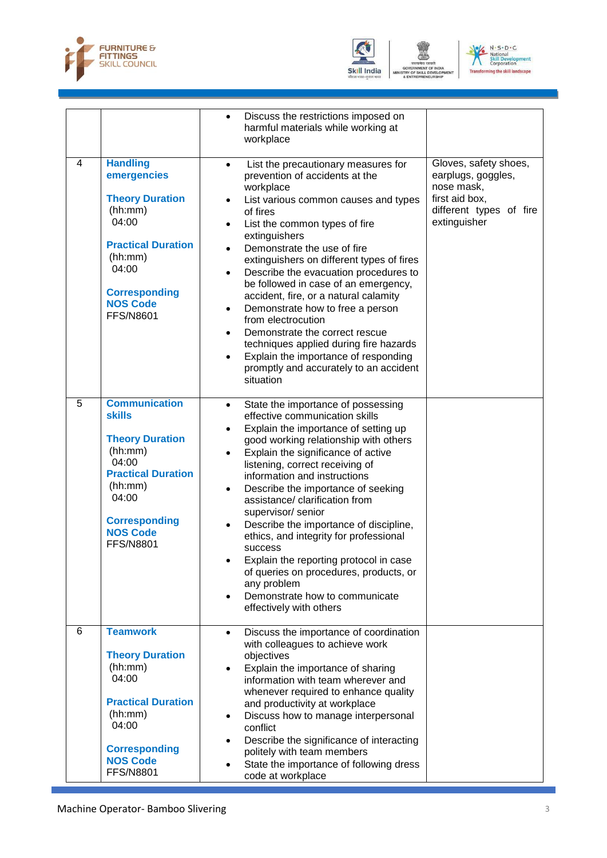



GOVERNMENT O<br>TRY OF SKILL DI<br>& ENTREPRENEI VELO



|   |                                                                                                                                                                                                     | Discuss the restrictions imposed on<br>$\bullet$<br>harmful materials while working at<br>workplace                                                                                                                                                                                                                                                                                                                                                                                                                                                                                                                                                                                                                                 |                                                                                                                        |
|---|-----------------------------------------------------------------------------------------------------------------------------------------------------------------------------------------------------|-------------------------------------------------------------------------------------------------------------------------------------------------------------------------------------------------------------------------------------------------------------------------------------------------------------------------------------------------------------------------------------------------------------------------------------------------------------------------------------------------------------------------------------------------------------------------------------------------------------------------------------------------------------------------------------------------------------------------------------|------------------------------------------------------------------------------------------------------------------------|
| 4 | <b>Handling</b><br>emergencies<br><b>Theory Duration</b><br>(hh:mm)<br>04:00<br><b>Practical Duration</b><br>(hh:mm)<br>04:00<br><b>Corresponding</b><br><b>NOS Code</b><br><b>FFS/N8601</b>        | List the precautionary measures for<br>$\bullet$<br>prevention of accidents at the<br>workplace<br>List various common causes and types<br>$\bullet$<br>of fires<br>List the common types of fire<br>$\bullet$<br>extinguishers<br>Demonstrate the use of fire<br>$\bullet$<br>extinguishers on different types of fires<br>Describe the evacuation procedures to<br>$\bullet$<br>be followed in case of an emergency,<br>accident, fire, or a natural calamity<br>Demonstrate how to free a person<br>٠<br>from electrocution<br>Demonstrate the correct rescue<br>$\bullet$<br>techniques applied during fire hazards<br>Explain the importance of responding<br>$\bullet$<br>promptly and accurately to an accident<br>situation | Gloves, safety shoes,<br>earplugs, goggles,<br>nose mask,<br>first aid box,<br>different types of fire<br>extinguisher |
| 5 | <b>Communication</b><br><b>skills</b><br><b>Theory Duration</b><br>(hh:mm)<br>04:00<br><b>Practical Duration</b><br>(hh:mm)<br>04:00<br><b>Corresponding</b><br><b>NOS Code</b><br><b>FFS/N8801</b> | State the importance of possessing<br>$\bullet$<br>effective communication skills<br>Explain the importance of setting up<br>good working relationship with others<br>Explain the significance of active<br>$\bullet$<br>listening, correct receiving of<br>information and instructions<br>Describe the importance of seeking<br>$\bullet$<br>assistance/ clarification from<br>supervisor/ senior<br>Describe the importance of discipline,<br>$\bullet$<br>ethics, and integrity for professional<br>success<br>Explain the reporting protocol in case<br>of queries on procedures, products, or<br>any problem<br>Demonstrate how to communicate<br>$\bullet$<br>effectively with others                                        |                                                                                                                        |
| 6 | <b>Teamwork</b><br><b>Theory Duration</b><br>(hh:mm)<br>04:00<br><b>Practical Duration</b><br>(hh:mm)<br>04:00<br><b>Corresponding</b><br><b>NOS Code</b><br><b>FFS/N8801</b>                       | Discuss the importance of coordination<br>$\bullet$<br>with colleagues to achieve work<br>objectives<br>Explain the importance of sharing<br>information with team wherever and<br>whenever required to enhance quality<br>and productivity at workplace<br>Discuss how to manage interpersonal<br>٠<br>conflict<br>Describe the significance of interacting<br>$\bullet$<br>politely with team members<br>State the importance of following dress<br>$\bullet$<br>code at workplace                                                                                                                                                                                                                                                |                                                                                                                        |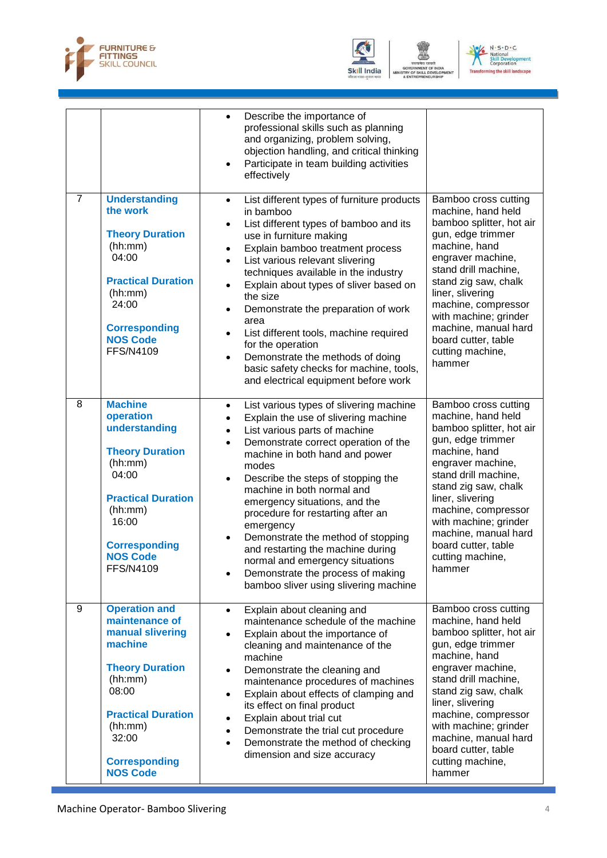



GOVERNMENT O<br>TRY OF SKILL DI<br>& ENTREPRENEI VELC



|                |                                                                                                                                                                                                                 | Describe the importance of<br>$\bullet$<br>professional skills such as planning<br>and organizing, problem solving,<br>objection handling, and critical thinking<br>Participate in team building activities<br>$\bullet$<br>effectively                                                                                                                                                                                                                                                                                                                                                                                                   |                                                                                                                                                                                                                                                                                                                                    |
|----------------|-----------------------------------------------------------------------------------------------------------------------------------------------------------------------------------------------------------------|-------------------------------------------------------------------------------------------------------------------------------------------------------------------------------------------------------------------------------------------------------------------------------------------------------------------------------------------------------------------------------------------------------------------------------------------------------------------------------------------------------------------------------------------------------------------------------------------------------------------------------------------|------------------------------------------------------------------------------------------------------------------------------------------------------------------------------------------------------------------------------------------------------------------------------------------------------------------------------------|
| $\overline{7}$ | <b>Understanding</b><br>the work<br><b>Theory Duration</b><br>(hh:mm)<br>04:00<br><b>Practical Duration</b><br>(hh:mm)<br>24:00<br><b>Corresponding</b><br><b>NOS Code</b><br><b>FFS/N4109</b>                  | List different types of furniture products<br>$\bullet$<br>in bamboo<br>List different types of bamboo and its<br>$\bullet$<br>use in furniture making<br>Explain bamboo treatment process<br>$\bullet$<br>List various relevant slivering<br>$\bullet$<br>techniques available in the industry<br>Explain about types of sliver based on<br>$\bullet$<br>the size<br>Demonstrate the preparation of work<br>٠<br>area<br>List different tools, machine required<br>$\bullet$<br>for the operation<br>Demonstrate the methods of doing<br>$\bullet$<br>basic safety checks for machine, tools,<br>and electrical equipment before work    | Bamboo cross cutting<br>machine, hand held<br>bamboo splitter, hot air<br>gun, edge trimmer<br>machine, hand<br>engraver machine,<br>stand drill machine,<br>stand zig saw, chalk<br>liner, slivering<br>machine, compressor<br>with machine; grinder<br>machine, manual hard<br>board cutter, table<br>cutting machine,<br>hammer |
| 8              | <b>Machine</b><br>operation<br>understanding<br><b>Theory Duration</b><br>(hh:mm)<br>04:00<br><b>Practical Duration</b><br>(hh:mm)<br>16:00<br><b>Corresponding</b><br><b>NOS Code</b><br><b>FFS/N4109</b>      | List various types of slivering machine<br>$\bullet$<br>Explain the use of slivering machine<br>$\bullet$<br>List various parts of machine<br>$\bullet$<br>Demonstrate correct operation of the<br>$\bullet$<br>machine in both hand and power<br>modes<br>Describe the steps of stopping the<br>$\bullet$<br>machine in both normal and<br>emergency situations, and the<br>procedure for restarting after an<br>emergency<br>Demonstrate the method of stopping<br>٠<br>and restarting the machine during<br>normal and emergency situations<br>Demonstrate the process of making<br>$\bullet$<br>bamboo sliver using slivering machine | Bamboo cross cutting<br>machine, hand held<br>bamboo splitter, hot air<br>gun, edge trimmer<br>machine, hand<br>engraver machine,<br>stand drill machine,<br>stand zig saw, chalk<br>liner, slivering<br>machine, compressor<br>with machine; grinder<br>machine, manual hard<br>board cutter, table<br>cutting machine,<br>hammer |
| 9              | <b>Operation and</b><br>maintenance of<br>manual slivering<br>machine<br><b>Theory Duration</b><br>(hh:mm)<br>08:00<br><b>Practical Duration</b><br>(hh:mm)<br>32:00<br><b>Corresponding</b><br><b>NOS Code</b> | Explain about cleaning and<br>$\bullet$<br>maintenance schedule of the machine<br>Explain about the importance of<br>$\bullet$<br>cleaning and maintenance of the<br>machine<br>Demonstrate the cleaning and<br>$\bullet$<br>maintenance procedures of machines<br>Explain about effects of clamping and<br>٠<br>its effect on final product<br>Explain about trial cut<br>$\bullet$<br>Demonstrate the trial cut procedure<br>$\bullet$<br>Demonstrate the method of checking<br>$\bullet$<br>dimension and size accuracy                                                                                                                | Bamboo cross cutting<br>machine, hand held<br>bamboo splitter, hot air<br>gun, edge trimmer<br>machine, hand<br>engraver machine,<br>stand drill machine,<br>stand zig saw, chalk<br>liner, slivering<br>machine, compressor<br>with machine; grinder<br>machine, manual hard<br>board cutter, table<br>cutting machine,<br>hammer |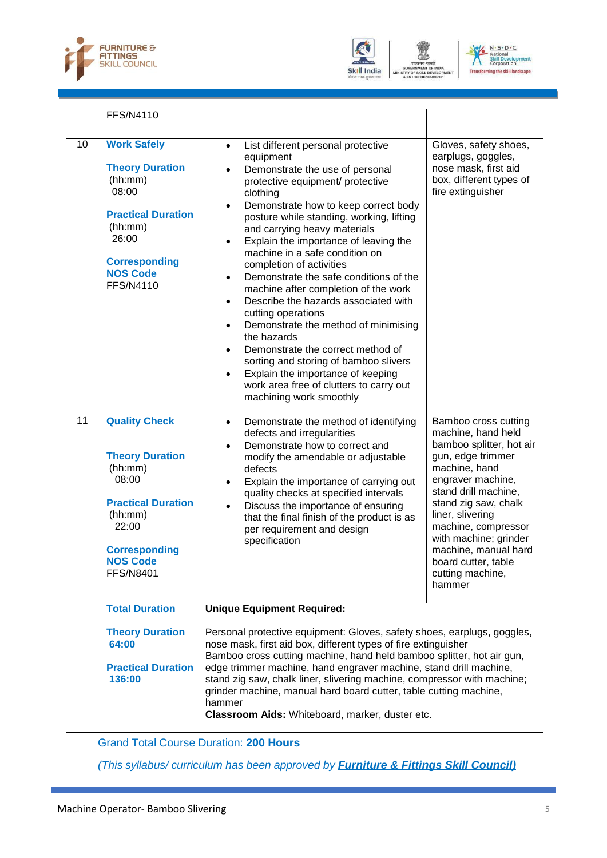





|    | <b>FFS/N4110</b>                                                                                                                                                                   |                                                                                                                                                                                                                                                                                                                                                                                                                                                                                                                                                                                                                                                                                                                                                                                                                                                  |                                                                                                                                                                                                                                                                                                                                    |
|----|------------------------------------------------------------------------------------------------------------------------------------------------------------------------------------|--------------------------------------------------------------------------------------------------------------------------------------------------------------------------------------------------------------------------------------------------------------------------------------------------------------------------------------------------------------------------------------------------------------------------------------------------------------------------------------------------------------------------------------------------------------------------------------------------------------------------------------------------------------------------------------------------------------------------------------------------------------------------------------------------------------------------------------------------|------------------------------------------------------------------------------------------------------------------------------------------------------------------------------------------------------------------------------------------------------------------------------------------------------------------------------------|
| 10 | <b>Work Safely</b><br><b>Theory Duration</b><br>(hh:mm)<br>08:00<br><b>Practical Duration</b><br>(hh:mm)<br>26:00<br><b>Corresponding</b><br><b>NOS Code</b><br><b>FFS/N4110</b>   | List different personal protective<br>$\bullet$<br>equipment<br>Demonstrate the use of personal<br>$\bullet$<br>protective equipment/ protective<br>clothing<br>Demonstrate how to keep correct body<br>$\bullet$<br>posture while standing, working, lifting<br>and carrying heavy materials<br>Explain the importance of leaving the<br>٠<br>machine in a safe condition on<br>completion of activities<br>Demonstrate the safe conditions of the<br>$\bullet$<br>machine after completion of the work<br>Describe the hazards associated with<br>$\bullet$<br>cutting operations<br>Demonstrate the method of minimising<br>$\bullet$<br>the hazards<br>Demonstrate the correct method of<br>sorting and storing of bamboo slivers<br>Explain the importance of keeping<br>work area free of clutters to carry out<br>machining work smoothly | Gloves, safety shoes,<br>earplugs, goggles,<br>nose mask, first aid<br>box, different types of<br>fire extinguisher                                                                                                                                                                                                                |
| 11 | <b>Quality Check</b><br><b>Theory Duration</b><br>(hh:mm)<br>08:00<br><b>Practical Duration</b><br>(hh:mm)<br>22:00<br><b>Corresponding</b><br><b>NOS Code</b><br><b>FFS/N8401</b> | Demonstrate the method of identifying<br>$\bullet$<br>defects and irregularities<br>Demonstrate how to correct and<br>$\bullet$<br>modify the amendable or adjustable<br>defects<br>Explain the importance of carrying out<br>$\bullet$<br>quality checks at specified intervals<br>Discuss the importance of ensuring<br>$\bullet$<br>that the final finish of the product is as<br>per requirement and design<br>specification                                                                                                                                                                                                                                                                                                                                                                                                                 | Bamboo cross cutting<br>machine, hand held<br>bamboo splitter, hot air<br>gun, edge trimmer<br>machine, hand<br>engraver machine,<br>stand drill machine,<br>stand zig saw, chalk<br>liner, slivering<br>machine, compressor<br>with machine; grinder<br>machine, manual hard<br>board cutter, table<br>cutting machine,<br>hammer |
|    | <b>Total Duration</b>                                                                                                                                                              | <b>Unique Equipment Required:</b>                                                                                                                                                                                                                                                                                                                                                                                                                                                                                                                                                                                                                                                                                                                                                                                                                |                                                                                                                                                                                                                                                                                                                                    |
|    | <b>Theory Duration</b><br>64:00<br><b>Practical Duration</b><br>136:00                                                                                                             | Personal protective equipment: Gloves, safety shoes, earplugs, goggles,<br>nose mask, first aid box, different types of fire extinguisher<br>Bamboo cross cutting machine, hand held bamboo splitter, hot air gun,<br>edge trimmer machine, hand engraver machine, stand drill machine,<br>stand zig saw, chalk liner, slivering machine, compressor with machine;<br>grinder machine, manual hard board cutter, table cutting machine,<br>hammer<br>Classroom Aids: Whiteboard, marker, duster etc.                                                                                                                                                                                                                                                                                                                                             |                                                                                                                                                                                                                                                                                                                                    |

Grand Total Course Duration: **200 Hours**

*(This syllabus/ curriculum has been approved by Furniture & Fittings Skill Council)*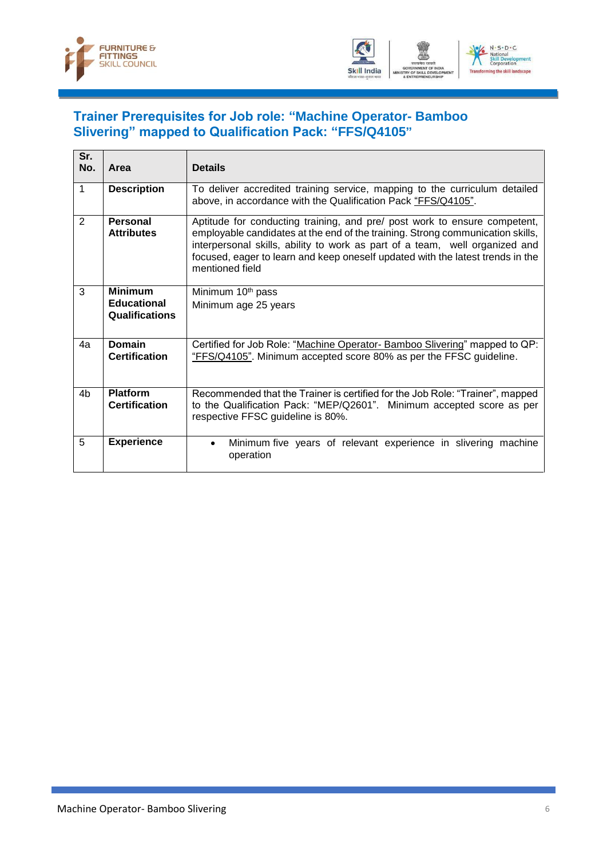



#### <span id="page-8-0"></span>**Trainer Prerequisites for Job role: "Machine Operator- Bamboo Slivering" mapped to Qualification Pack: "FFS/Q4105"**

| Sr.<br>No.     | Area                                                   | <b>Details</b>                                                                                                                                                                                                                                                                                                                                  |
|----------------|--------------------------------------------------------|-------------------------------------------------------------------------------------------------------------------------------------------------------------------------------------------------------------------------------------------------------------------------------------------------------------------------------------------------|
| 1              | <b>Description</b>                                     | To deliver accredited training service, mapping to the curriculum detailed<br>above, in accordance with the Qualification Pack "FFS/Q4105".                                                                                                                                                                                                     |
| 2              | <b>Personal</b><br><b>Attributes</b>                   | Aptitude for conducting training, and pre/ post work to ensure competent,<br>employable candidates at the end of the training. Strong communication skills,<br>interpersonal skills, ability to work as part of a team, well organized and<br>focused, eager to learn and keep oneself updated with the latest trends in the<br>mentioned field |
| 3              | <b>Minimum</b><br><b>Educational</b><br>Qualifications | Minimum 10 <sup>th</sup> pass<br>Minimum age 25 years                                                                                                                                                                                                                                                                                           |
| 4a             | <b>Domain</b><br><b>Certification</b>                  | Certified for Job Role: "Machine Operator- Bamboo Slivering" mapped to QP:<br>"FFS/Q4105". Minimum accepted score 80% as per the FFSC guideline.                                                                                                                                                                                                |
| 4 <sub>b</sub> | <b>Platform</b><br><b>Certification</b>                | Recommended that the Trainer is certified for the Job Role: "Trainer", mapped<br>to the Qualification Pack: "MEP/Q2601". Minimum accepted score as per<br>respective FFSC guideline is 80%.                                                                                                                                                     |
| 5              | <b>Experience</b>                                      | Minimum five years of relevant experience in slivering machine<br>$\bullet$<br>operation                                                                                                                                                                                                                                                        |